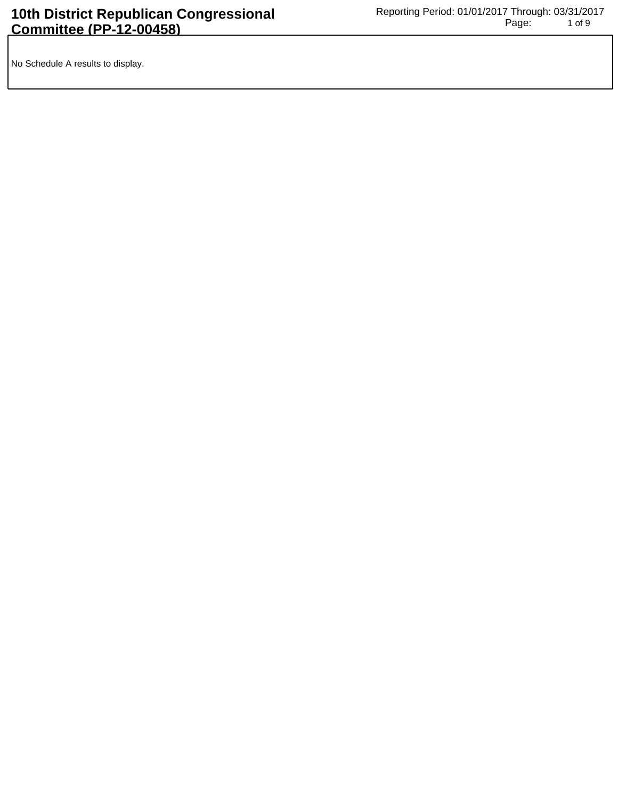No Schedule A results to display.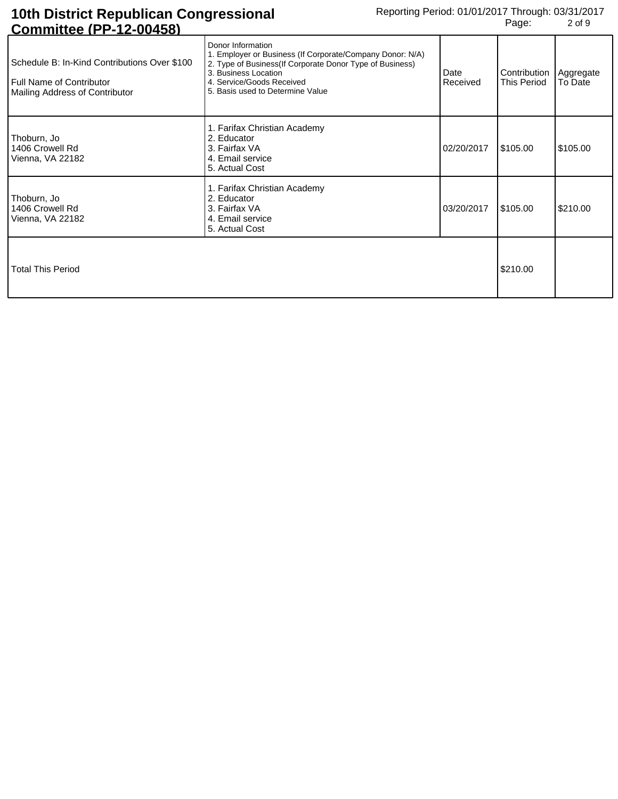## **10th District Republican Congressional Committee (PP-12-00458)**

| <u> UUIIIIIIIIIIIII - IZ-UUTJUL</u>                                                                        |                                                                                                                                                                                                                                      |                  |                                                |          |
|------------------------------------------------------------------------------------------------------------|--------------------------------------------------------------------------------------------------------------------------------------------------------------------------------------------------------------------------------------|------------------|------------------------------------------------|----------|
| Schedule B: In-Kind Contributions Over \$100<br>Full Name of Contributor<br>Mailing Address of Contributor | Donor Information<br>1. Employer or Business (If Corporate/Company Donor: N/A)<br>2. Type of Business (If Corporate Donor Type of Business)<br>3. Business Location<br>4. Service/Goods Received<br>5. Basis used to Determine Value | Date<br>Received | Contribution   Aggregate<br><b>This Period</b> | To Date  |
| Thoburn, Jo<br>1406 Crowell Rd<br>Vienna, VA 22182                                                         | 1. Farifax Christian Academy<br>2. Educator<br>3. Fairfax VA<br>4. Email service<br>5. Actual Cost                                                                                                                                   | 02/20/2017       | \$105.00                                       | \$105.00 |
| Thoburn, Jo<br>1406 Crowell Rd<br>Vienna, VA 22182                                                         | 1. Farifax Christian Academy<br>2. Educator<br>3. Fairfax VA<br>4. Email service<br>5. Actual Cost                                                                                                                                   | 03/20/2017       | \$105.00                                       | \$210.00 |
| <b>Total This Period</b>                                                                                   |                                                                                                                                                                                                                                      |                  | \$210.00                                       |          |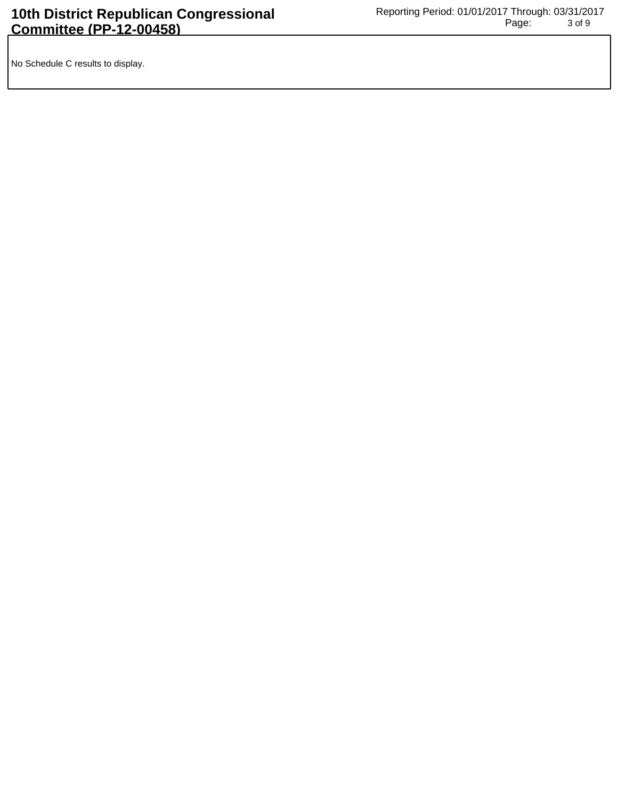No Schedule C results to display.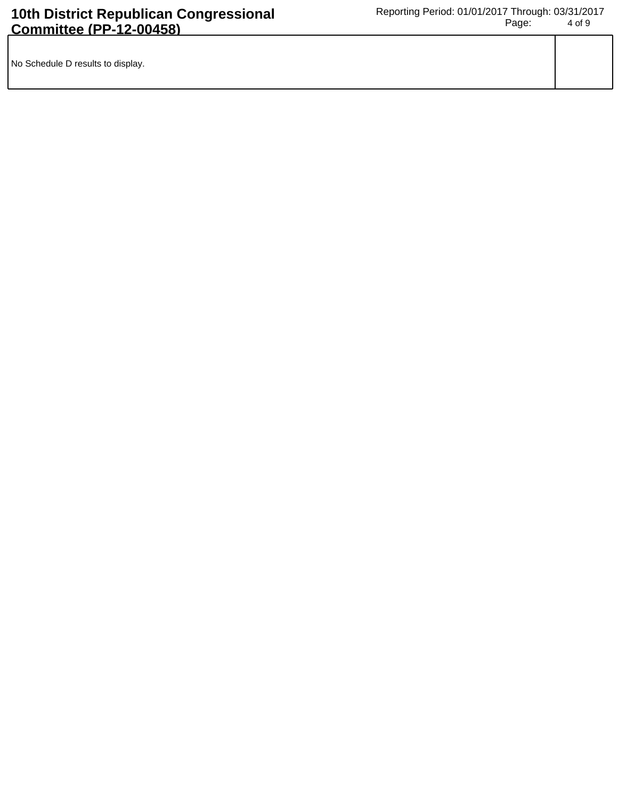| No Schedule D results to display. |  |
|-----------------------------------|--|
|                                   |  |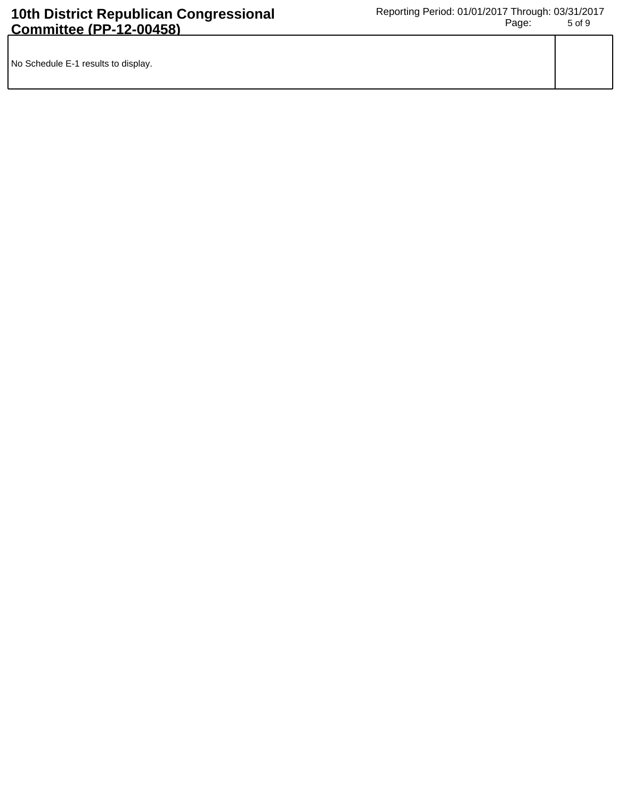| No Schedule E-1 results to display. |  |
|-------------------------------------|--|
|                                     |  |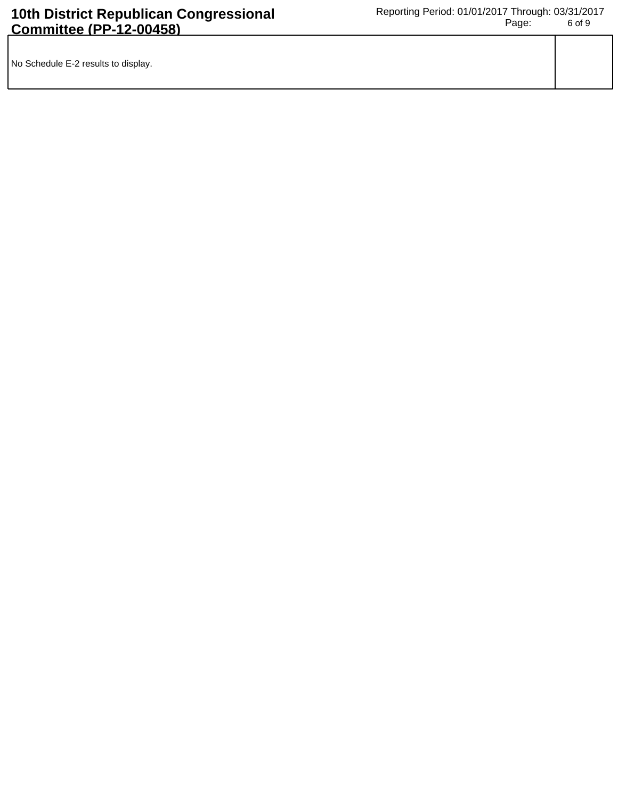| No Schedule E-2 results to display. |  |
|-------------------------------------|--|
|                                     |  |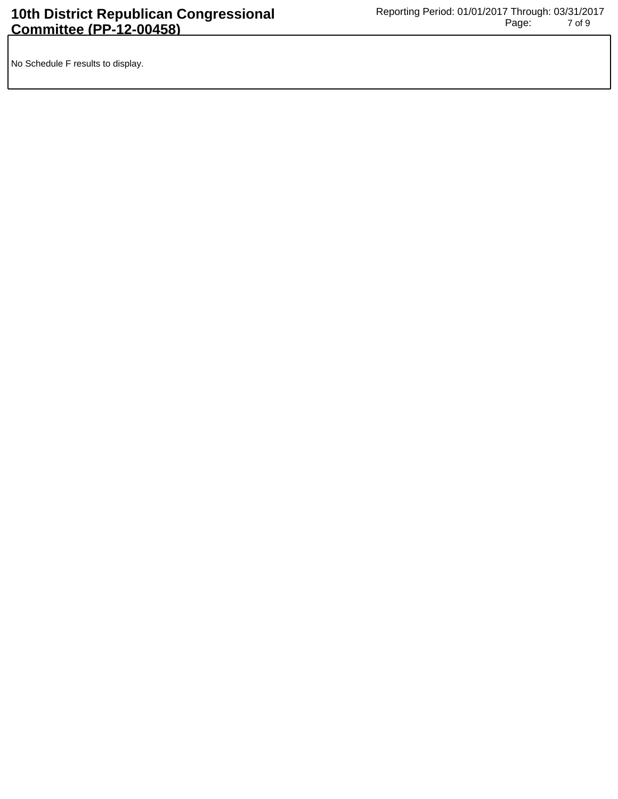No Schedule F results to display.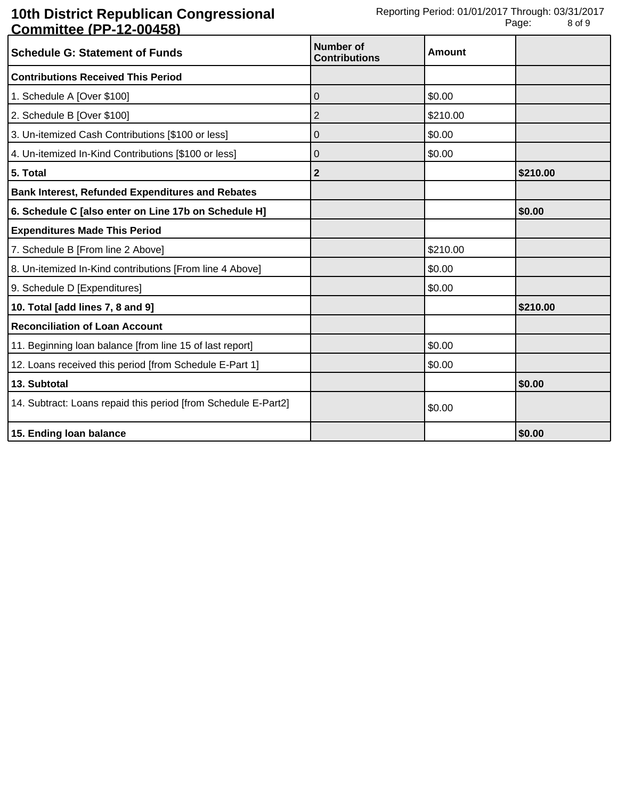## **10th District Republican Congressional Committee (PP-12-00458)**

| <b>Schedule G: Statement of Funds</b>                          | <b>Number of</b><br><b>Contributions</b> | <b>Amount</b> |          |
|----------------------------------------------------------------|------------------------------------------|---------------|----------|
| <b>Contributions Received This Period</b>                      |                                          |               |          |
| 1. Schedule A [Over \$100]                                     | 0                                        | \$0.00        |          |
| 2. Schedule B [Over \$100]                                     | 2                                        | \$210.00      |          |
| 3. Un-itemized Cash Contributions [\$100 or less]              | 0                                        | \$0.00        |          |
| 4. Un-itemized In-Kind Contributions [\$100 or less]           | 0                                        | \$0.00        |          |
| 5. Total                                                       | 2                                        |               | \$210.00 |
| <b>Bank Interest, Refunded Expenditures and Rebates</b>        |                                          |               |          |
| 6. Schedule C [also enter on Line 17b on Schedule H]           |                                          |               | \$0.00   |
| <b>Expenditures Made This Period</b>                           |                                          |               |          |
| 7. Schedule B [From line 2 Above]                              |                                          | \$210.00      |          |
| 8. Un-itemized In-Kind contributions [From line 4 Above]       |                                          | \$0.00        |          |
| 9. Schedule D [Expenditures]                                   |                                          | \$0.00        |          |
| 10. Total [add lines 7, 8 and 9]                               |                                          |               | \$210.00 |
| <b>Reconciliation of Loan Account</b>                          |                                          |               |          |
| 11. Beginning loan balance [from line 15 of last report]       |                                          | \$0.00        |          |
| 12. Loans received this period [from Schedule E-Part 1]        |                                          | \$0.00        |          |
| 13. Subtotal                                                   |                                          |               | \$0.00   |
| 14. Subtract: Loans repaid this period [from Schedule E-Part2] |                                          | \$0.00        |          |
| 15. Ending loan balance                                        |                                          |               | \$0.00   |